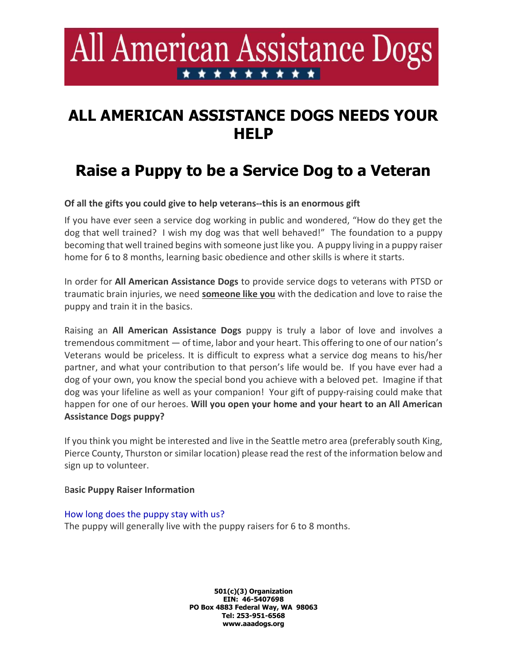# All American Assistance Dogs \* \* \* \* \* \* \* \* \*

### ALL AMERICAN ASSISTANCE DOGS NEEDS YOUR **HELP**

## Raise a Puppy to be a Service Dog to a Veteran

Of all the gifts you could give to help veterans--this is an enormous gift

If you have ever seen a service dog working in public and wondered, "How do they get the dog that well trained? I wish my dog was that well behaved!" The foundation to a puppy becoming that well trained begins with someone just like you. A puppy living in a puppy raiser home for 6 to 8 months, learning basic obedience and other skills is where it starts.

In order for All American Assistance Dogs to provide service dogs to veterans with PTSD or traumatic brain injuries, we need someone like you with the dedication and love to raise the puppy and train it in the basics.

Raising an All American Assistance Dogs puppy is truly a labor of love and involves a tremendous commitment — of time, labor and your heart. This offering to one of our nation's Veterans would be priceless. It is difficult to express what a service dog means to his/her partner, and what your contribution to that person's life would be. If you have ever had a dog of your own, you know the special bond you achieve with a beloved pet. Imagine if that dog was your lifeline as well as your companion! Your gift of puppy-raising could make that happen for one of our heroes. Will you open your home and your heart to an All American Assistance Dogs puppy?

If you think you might be interested and live in the Seattle metro area (preferably south King, Pierce County, Thurston or similar location) please read the rest of the information below and sign up to volunteer.

#### Basic Puppy Raiser Information

#### How long does the puppy stay with us?

The puppy will generally live with the puppy raisers for 6 to 8 months.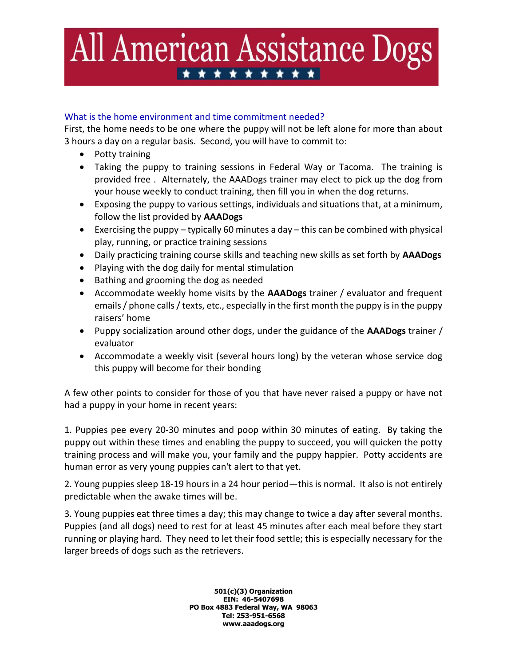# All American Assistance Dogs \*\*\*\*\*\*\*\*\*

#### What is the home environment and time commitment needed?

First, the home needs to be one where the puppy will not be left alone for more than about 3 hours a day on a regular basis. Second, you will have to commit to:

- Potty training
- Taking the puppy to training sessions in Federal Way or Tacoma. The training is provided free . Alternately, the AAADogs trainer may elect to pick up the dog from your house weekly to conduct training, then fill you in when the dog returns.
- Exposing the puppy to various settings, individuals and situations that, at a minimum, follow the list provided by AAADogs
- Exercising the puppy typically 60 minutes a day this can be combined with physical play, running, or practice training sessions
- Daily practicing training course skills and teaching new skills as set forth by **AAADogs**
- Playing with the dog daily for mental stimulation
- Bathing and grooming the dog as needed
- Accommodate weekly home visits by the AAADogs trainer / evaluator and frequent emails / phone calls / texts, etc., especially in the first month the puppy is in the puppy raisers' home
- Puppy socialization around other dogs, under the guidance of the **AAADogs** trainer / evaluator
- Accommodate a weekly visit (several hours long) by the veteran whose service dog this puppy will become for their bonding

A few other points to consider for those of you that have never raised a puppy or have not had a puppy in your home in recent years:

1. Puppies pee every 20-30 minutes and poop within 30 minutes of eating. By taking the puppy out within these times and enabling the puppy to succeed, you will quicken the potty training process and will make you, your family and the puppy happier. Potty accidents are human error as very young puppies can't alert to that yet.

2. Young puppies sleep 18-19 hours in a 24 hour period—this is normal. It also is not entirely predictable when the awake times will be.

3. Young puppies eat three times a day; this may change to twice a day after several months. Puppies (and all dogs) need to rest for at least 45 minutes after each meal before they start running or playing hard. They need to let their food settle; this is especially necessary for the larger breeds of dogs such as the retrievers.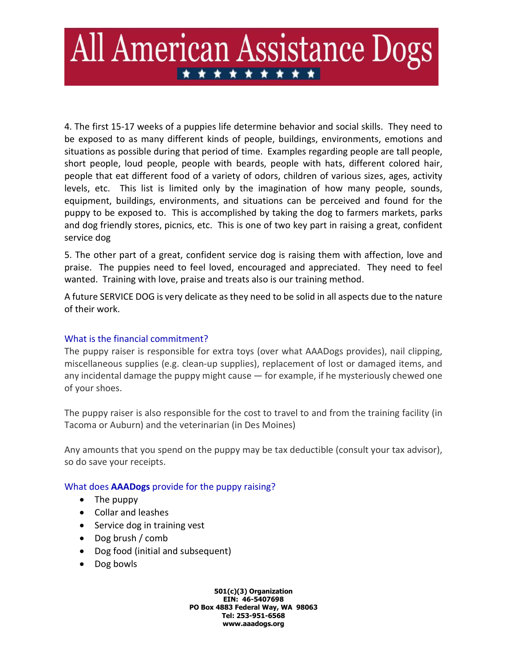## All American Assistance Dogs \* \* \* \* \* \* \* \* \* \*

4. The first 15-17 weeks of a puppies life determine behavior and social skills. They need to be exposed to as many different kinds of people, buildings, environments, emotions and situations as possible during that period of time. Examples regarding people are tall people, short people, loud people, people with beards, people with hats, different colored hair, people that eat different food of a variety of odors, children of various sizes, ages, activity levels, etc. This list is limited only by the imagination of how many people, sounds, equipment, buildings, environments, and situations can be perceived and found for the puppy to be exposed to. This is accomplished by taking the dog to farmers markets, parks and dog friendly stores, picnics, etc. This is one of two key part in raising a great, confident service dog

5. The other part of a great, confident service dog is raising them with affection, love and praise. The puppies need to feel loved, encouraged and appreciated. They need to feel wanted. Training with love, praise and treats also is our training method.

A future SERVICE DOG is very delicate as they need to be solid in all aspects due to the nature of their work.

### What is the financial commitment?

The puppy raiser is responsible for extra toys (over what AAADogs provides), nail clipping, miscellaneous supplies (e.g. clean-up supplies), replacement of lost or damaged items, and any incidental damage the puppy might cause — for example, if he mysteriously chewed one of your shoes.

The puppy raiser is also responsible for the cost to travel to and from the training facility (in Tacoma or Auburn) and the veterinarian (in Des Moines)

Any amounts that you spend on the puppy may be tax deductible (consult your tax advisor), so do save your receipts.

#### What does **AAADogs** provide for the puppy raising?

- The puppy
- Collar and leashes
- Service dog in training vest
- Dog brush / comb
- Dog food (initial and subsequent)
- Dog bowls